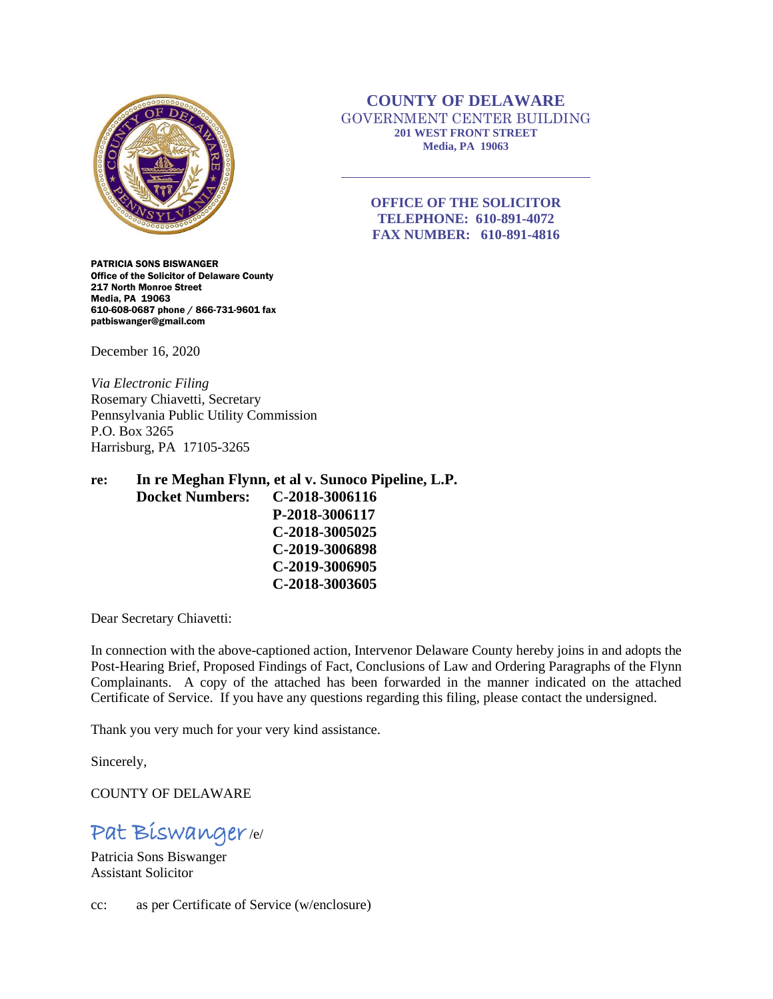

PATRICIA SONS BISWANGER Office of the Solicitor of Delaware County 217 North Monroe Street Media, PA 19063 610-608-0687 phone / 866-731-9601 fax patbiswanger@gmail.com

December 16, 2020

*Via Electronic Filing* Rosemary Chiavetti, Secretary Pennsylvania Public Utility Commission P.O. Box 3265 Harrisburg, PA 17105-3265

**re: In re Meghan Flynn, et al v. Sunoco Pipeline, L.P. Docket Numbers: C-2018-3006116 P-2018-3006117 C-2018-3005025 C-2019-3006898 C-2019-3006905 C-2018-3003605**

Dear Secretary Chiavetti:

In connection with the above-captioned action, Intervenor Delaware County hereby joins in and adopts the Post-Hearing Brief, Proposed Findings of Fact, Conclusions of Law and Ordering Paragraphs of the Flynn Complainants. A copy of the attached has been forwarded in the manner indicated on the attached Certificate of Service. If you have any questions regarding this filing, please contact the undersigned.

Thank you very much for your very kind assistance.

Sincerely,

COUNTY OF DELAWARE

# Pat Biswanger/e/

Patricia Sons Biswanger Assistant Solicitor

cc: as per Certificate of Service (w/enclosure)

## **COUNTY OF DELAWARE** GOVERNMENT CENTER BUILDING **201 WEST FRONT STREET Media, PA 19063**

## **OFFICE OF THE SOLICITOR TELEPHONE: 610-891-4072 FAX NUMBER: 610-891-4816**